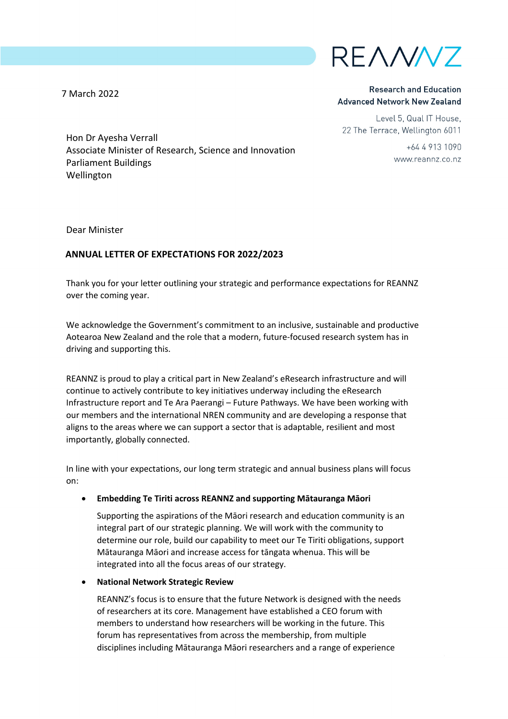

**Research and Education Advanced Network New Zealand** 

Level 5, Qual IT House. 22 The Terrace, Wellington 6011

> $+6449131090$ www.reannz.co.nz

Hon Dr Ayesha Verrall Associate Minister of Research, Science and Innovation Parliament Buildings Wellington

Dear Minister

7 March 2022

## **ANNUAL LETTER OF EXPECTATIONS FOR 2022/2023**

Thank you for your letter outlining your strategic and performance expectations for REANNZ over the coming year.

We acknowledge the Government's commitment to an inclusive, sustainable and productive Aotearoa New Zealand and the role that a modern, future-focused research system has in driving and supporting this.

REANNZ is proud to play a critical part in New Zealand's eResearch infrastructure and will continue to actively contribute to key initiatives underway including the eResearch Infrastructure report and Te Ara Paerangi – Future Pathways. We have been working with our members and the international NREN community and are developing a response that aligns to the areas where we can support a sector that is adaptable, resilient and most importantly, globally connected.

In line with your expectations, our long term strategic and annual business plans will focus on:

## • **Embedding Te Tiriti across REANNZ and supporting Mātauranga Māori**

Supporting the aspirations of the Māori research and education community is an integral part of our strategic planning. We will work with the community to determine our role, build our capability to meet our Te Tiriti obligations, support Mātauranga Māori and increase access for tāngata whenua. This will be integrated into all the focus areas of our strategy.

## • **National Network Strategic Review**

REANNZ's focus is to ensure that the future Network is designed with the needs of researchers at its core. Management have established a CEO forum with members to understand how researchers will be working in the future. This forum has representatives from across the membership, from multiple disciplines including Mātauranga Māori researchers and a range of experience